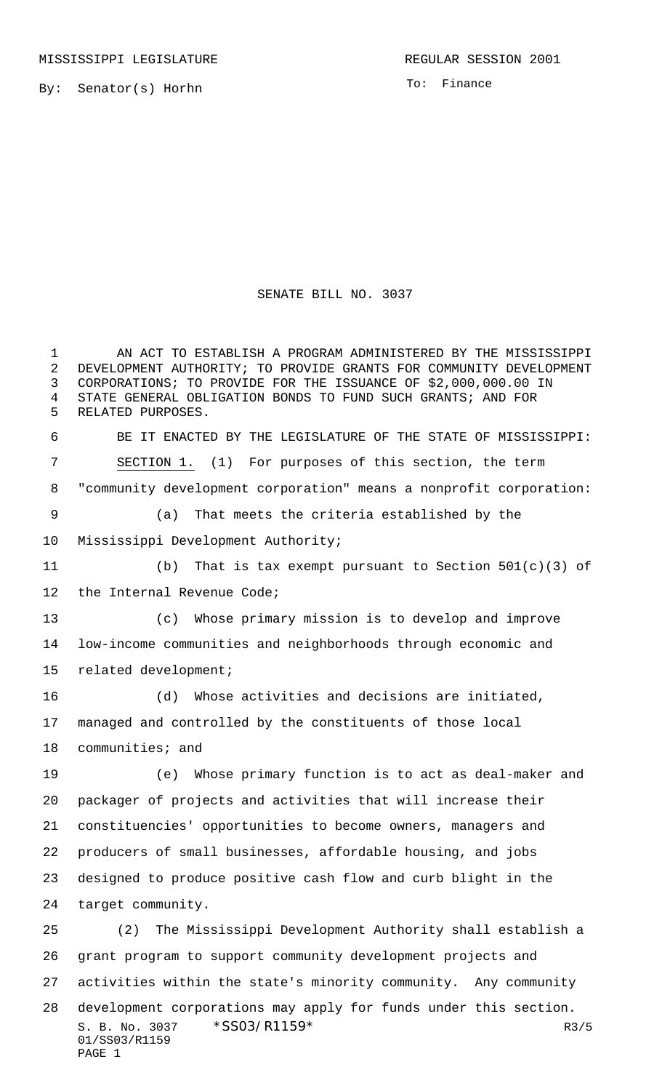By: Senator(s) Horhn

To: Finance

## SENATE BILL NO. 3037

S. B. No. 3037 \* SSO3/R1159\* R3/5 01/SS03/R1159 PAGE 1 1 AN ACT TO ESTABLISH A PROGRAM ADMINISTERED BY THE MISSISSIPPI DEVELOPMENT AUTHORITY; TO PROVIDE GRANTS FOR COMMUNITY DEVELOPMENT CORPORATIONS; TO PROVIDE FOR THE ISSUANCE OF \$2,000,000.00 IN STATE GENERAL OBLIGATION BONDS TO FUND SUCH GRANTS; AND FOR RELATED PURPOSES. BE IT ENACTED BY THE LEGISLATURE OF THE STATE OF MISSISSIPPI: SECTION 1. (1) For purposes of this section, the term "community development corporation" means a nonprofit corporation: (a) That meets the criteria established by the Mississippi Development Authority; (b) That is tax exempt pursuant to Section 501(c)(3) of 12 the Internal Revenue Code; (c) Whose primary mission is to develop and improve low-income communities and neighborhoods through economic and related development; (d) Whose activities and decisions are initiated, managed and controlled by the constituents of those local communities; and (e) Whose primary function is to act as deal-maker and packager of projects and activities that will increase their constituencies' opportunities to become owners, managers and producers of small businesses, affordable housing, and jobs designed to produce positive cash flow and curb blight in the target community. (2) The Mississippi Development Authority shall establish a grant program to support community development projects and activities within the state's minority community. Any community development corporations may apply for funds under this section.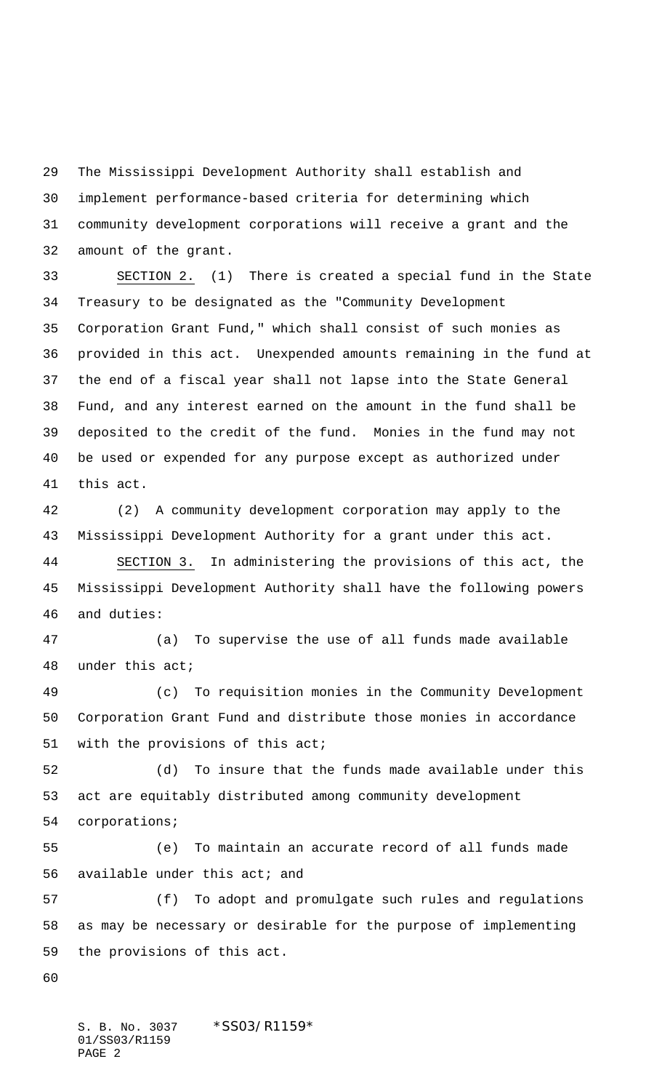The Mississippi Development Authority shall establish and implement performance-based criteria for determining which community development corporations will receive a grant and the amount of the grant.

 SECTION 2. (1) There is created a special fund in the State Treasury to be designated as the "Community Development Corporation Grant Fund," which shall consist of such monies as provided in this act. Unexpended amounts remaining in the fund at the end of a fiscal year shall not lapse into the State General Fund, and any interest earned on the amount in the fund shall be deposited to the credit of the fund. Monies in the fund may not be used or expended for any purpose except as authorized under this act.

 (2) A community development corporation may apply to the Mississippi Development Authority for a grant under this act.

 SECTION 3. In administering the provisions of this act, the Mississippi Development Authority shall have the following powers and duties:

 (a) To supervise the use of all funds made available under this act;

 (c) To requisition monies in the Community Development Corporation Grant Fund and distribute those monies in accordance with the provisions of this act;

 (d) To insure that the funds made available under this act are equitably distributed among community development corporations;

 (e) To maintain an accurate record of all funds made available under this act; and

 (f) To adopt and promulgate such rules and regulations as may be necessary or desirable for the purpose of implementing the provisions of this act.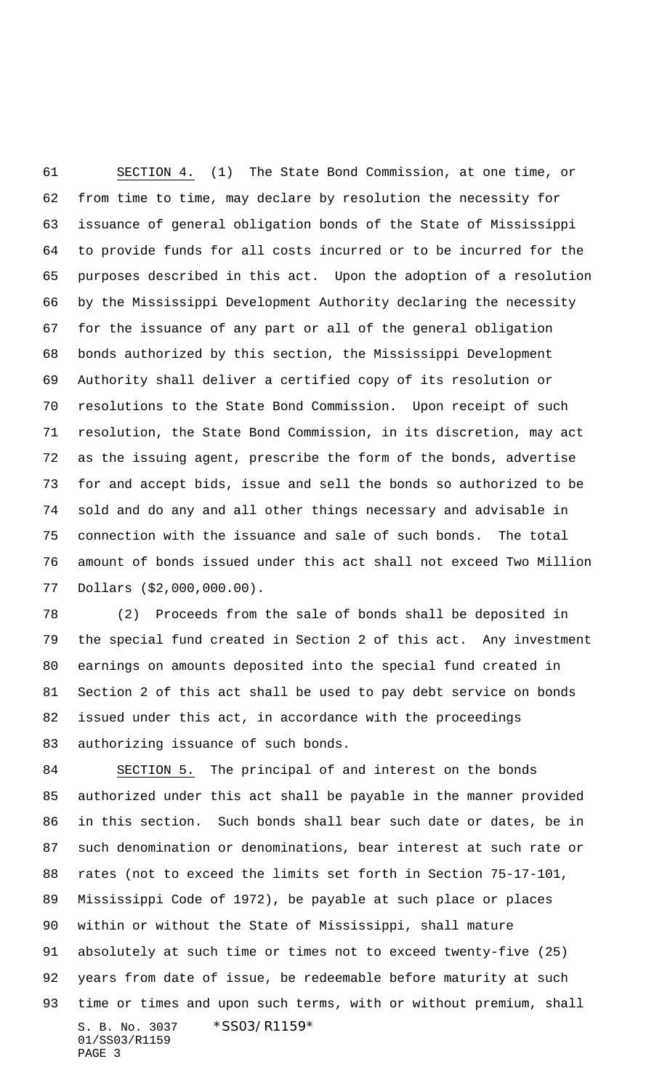SECTION 4. (1) The State Bond Commission, at one time, or from time to time, may declare by resolution the necessity for issuance of general obligation bonds of the State of Mississippi to provide funds for all costs incurred or to be incurred for the purposes described in this act. Upon the adoption of a resolution by the Mississippi Development Authority declaring the necessity for the issuance of any part or all of the general obligation bonds authorized by this section, the Mississippi Development Authority shall deliver a certified copy of its resolution or resolutions to the State Bond Commission. Upon receipt of such resolution, the State Bond Commission, in its discretion, may act as the issuing agent, prescribe the form of the bonds, advertise for and accept bids, issue and sell the bonds so authorized to be sold and do any and all other things necessary and advisable in connection with the issuance and sale of such bonds. The total amount of bonds issued under this act shall not exceed Two Million Dollars (\$2,000,000.00).

 (2) Proceeds from the sale of bonds shall be deposited in the special fund created in Section 2 of this act. Any investment earnings on amounts deposited into the special fund created in Section 2 of this act shall be used to pay debt service on bonds issued under this act, in accordance with the proceedings authorizing issuance of such bonds.

S. B. No. 3037 \* SS03/R1159\* 01/SS03/R1159 PAGE 3 SECTION 5. The principal of and interest on the bonds authorized under this act shall be payable in the manner provided in this section. Such bonds shall bear such date or dates, be in such denomination or denominations, bear interest at such rate or rates (not to exceed the limits set forth in Section 75-17-101, Mississippi Code of 1972), be payable at such place or places within or without the State of Mississippi, shall mature absolutely at such time or times not to exceed twenty-five (25) years from date of issue, be redeemable before maturity at such time or times and upon such terms, with or without premium, shall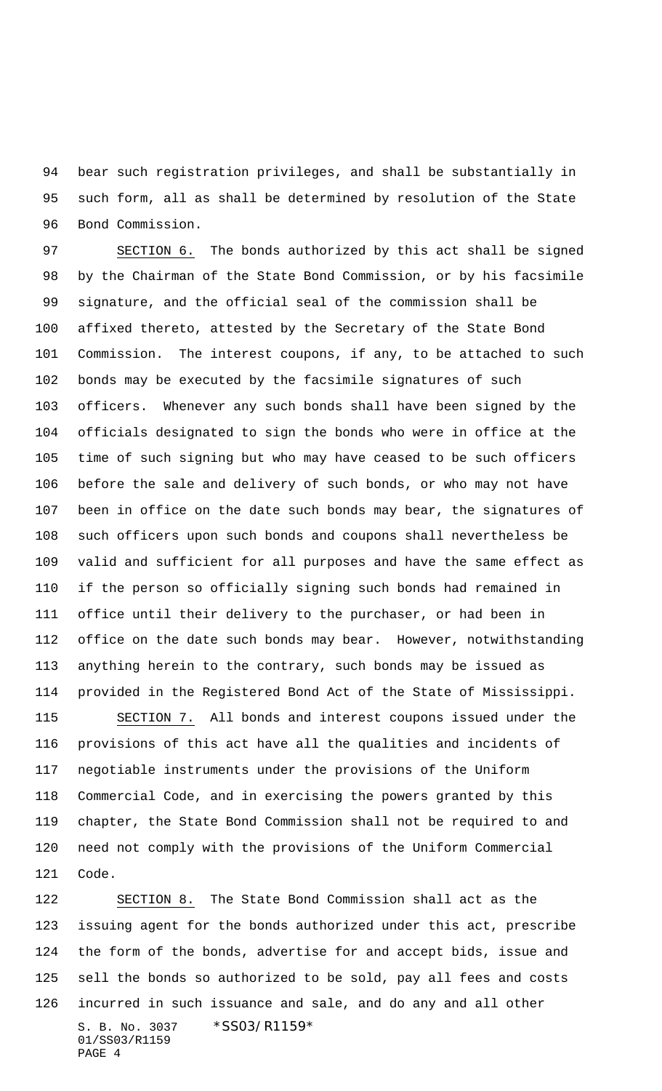bear such registration privileges, and shall be substantially in such form, all as shall be determined by resolution of the State Bond Commission.

 SECTION 6. The bonds authorized by this act shall be signed by the Chairman of the State Bond Commission, or by his facsimile signature, and the official seal of the commission shall be affixed thereto, attested by the Secretary of the State Bond Commission. The interest coupons, if any, to be attached to such bonds may be executed by the facsimile signatures of such officers. Whenever any such bonds shall have been signed by the officials designated to sign the bonds who were in office at the time of such signing but who may have ceased to be such officers before the sale and delivery of such bonds, or who may not have been in office on the date such bonds may bear, the signatures of such officers upon such bonds and coupons shall nevertheless be valid and sufficient for all purposes and have the same effect as if the person so officially signing such bonds had remained in office until their delivery to the purchaser, or had been in office on the date such bonds may bear. However, notwithstanding anything herein to the contrary, such bonds may be issued as provided in the Registered Bond Act of the State of Mississippi.

 SECTION 7. All bonds and interest coupons issued under the provisions of this act have all the qualities and incidents of negotiable instruments under the provisions of the Uniform Commercial Code, and in exercising the powers granted by this chapter, the State Bond Commission shall not be required to and need not comply with the provisions of the Uniform Commercial Code.

S. B. No. 3037 \* SS03/R1159\* 01/SS03/R1159 PAGE 4 SECTION 8. The State Bond Commission shall act as the issuing agent for the bonds authorized under this act, prescribe the form of the bonds, advertise for and accept bids, issue and sell the bonds so authorized to be sold, pay all fees and costs incurred in such issuance and sale, and do any and all other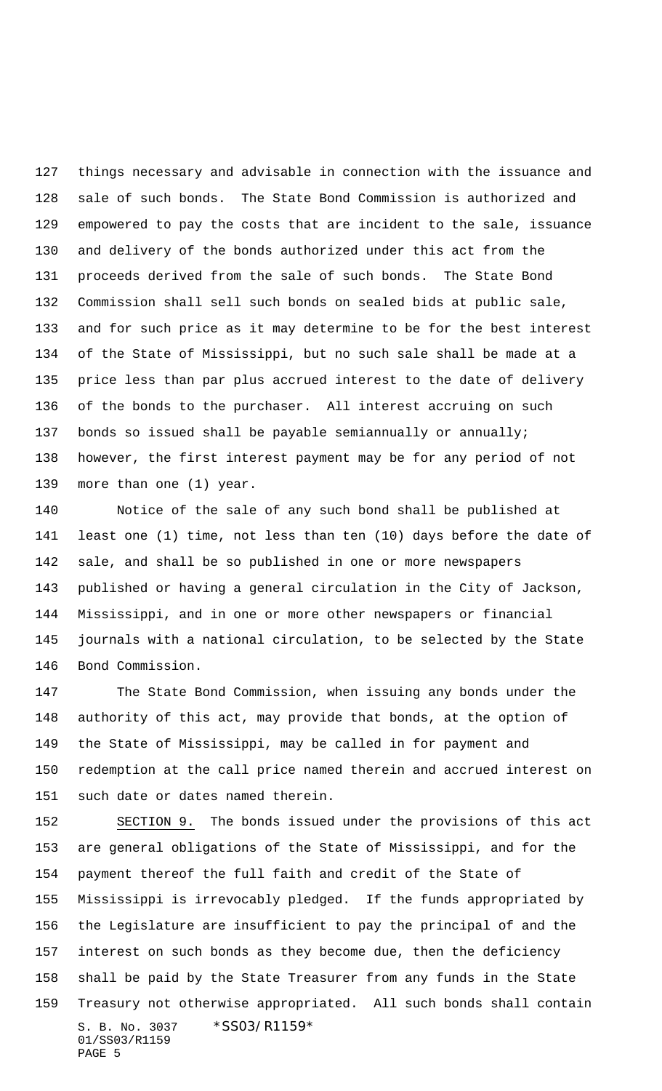things necessary and advisable in connection with the issuance and sale of such bonds. The State Bond Commission is authorized and empowered to pay the costs that are incident to the sale, issuance and delivery of the bonds authorized under this act from the proceeds derived from the sale of such bonds. The State Bond Commission shall sell such bonds on sealed bids at public sale, and for such price as it may determine to be for the best interest of the State of Mississippi, but no such sale shall be made at a price less than par plus accrued interest to the date of delivery of the bonds to the purchaser. All interest accruing on such bonds so issued shall be payable semiannually or annually; however, the first interest payment may be for any period of not more than one (1) year.

 Notice of the sale of any such bond shall be published at least one (1) time, not less than ten (10) days before the date of sale, and shall be so published in one or more newspapers published or having a general circulation in the City of Jackson, Mississippi, and in one or more other newspapers or financial journals with a national circulation, to be selected by the State Bond Commission.

 The State Bond Commission, when issuing any bonds under the authority of this act, may provide that bonds, at the option of the State of Mississippi, may be called in for payment and redemption at the call price named therein and accrued interest on such date or dates named therein.

S. B. No. 3037 \* SS03/R1159\* 01/SS03/R1159 PAGE 5 152 SECTION 9. The bonds issued under the provisions of this act are general obligations of the State of Mississippi, and for the payment thereof the full faith and credit of the State of Mississippi is irrevocably pledged. If the funds appropriated by the Legislature are insufficient to pay the principal of and the interest on such bonds as they become due, then the deficiency shall be paid by the State Treasurer from any funds in the State Treasury not otherwise appropriated. All such bonds shall contain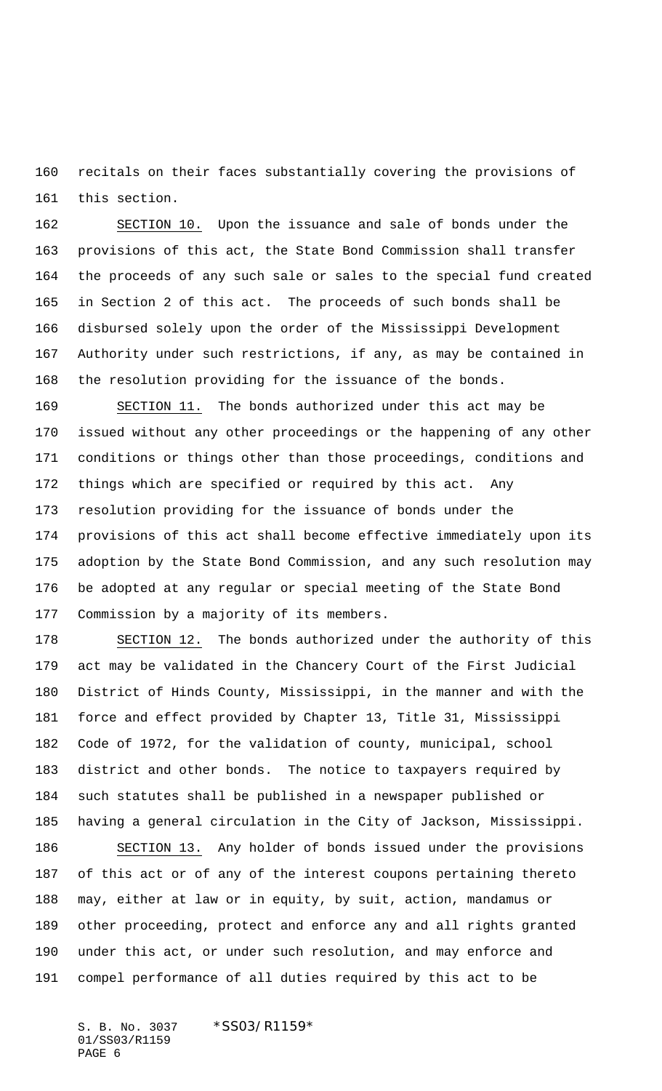recitals on their faces substantially covering the provisions of this section.

 SECTION 10. Upon the issuance and sale of bonds under the provisions of this act, the State Bond Commission shall transfer the proceeds of any such sale or sales to the special fund created in Section 2 of this act. The proceeds of such bonds shall be disbursed solely upon the order of the Mississippi Development Authority under such restrictions, if any, as may be contained in the resolution providing for the issuance of the bonds.

 SECTION 11. The bonds authorized under this act may be issued without any other proceedings or the happening of any other conditions or things other than those proceedings, conditions and things which are specified or required by this act. Any resolution providing for the issuance of bonds under the provisions of this act shall become effective immediately upon its adoption by the State Bond Commission, and any such resolution may be adopted at any regular or special meeting of the State Bond Commission by a majority of its members.

 SECTION 12. The bonds authorized under the authority of this act may be validated in the Chancery Court of the First Judicial District of Hinds County, Mississippi, in the manner and with the force and effect provided by Chapter 13, Title 31, Mississippi Code of 1972, for the validation of county, municipal, school district and other bonds. The notice to taxpayers required by such statutes shall be published in a newspaper published or having a general circulation in the City of Jackson, Mississippi. SECTION 13. Any holder of bonds issued under the provisions

 of this act or of any of the interest coupons pertaining thereto may, either at law or in equity, by suit, action, mandamus or other proceeding, protect and enforce any and all rights granted under this act, or under such resolution, and may enforce and compel performance of all duties required by this act to be

S. B. No. 3037 \*SS03/R1159\* 01/SS03/R1159 PAGE 6